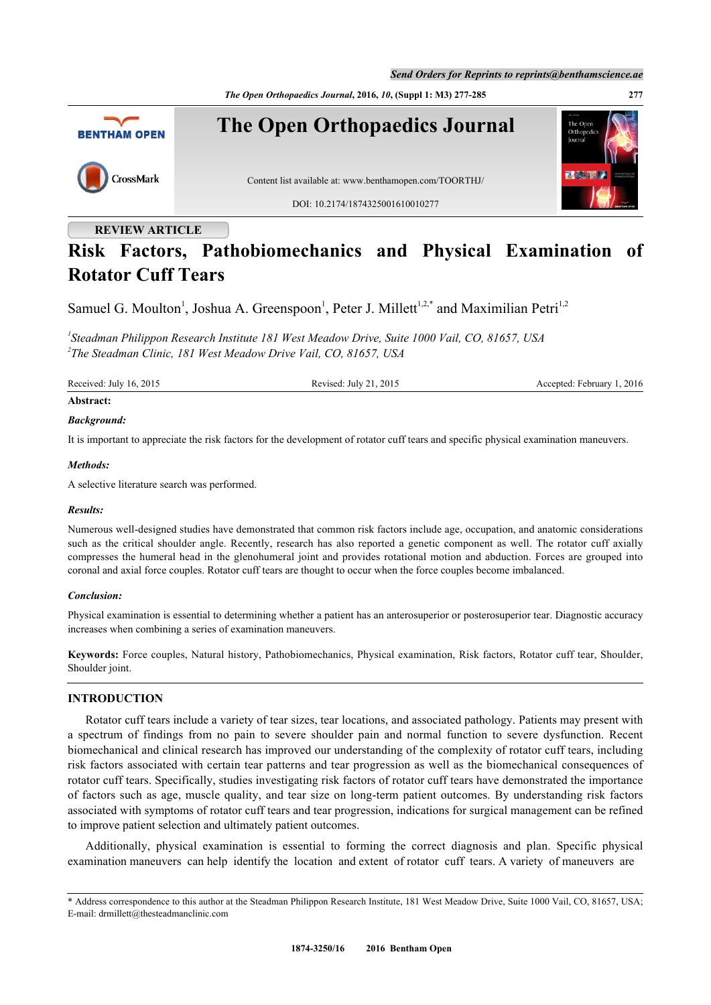*The Open Orthopaedics Journal***, 2016,** *10***, (Suppl 1: M3) 277-285 277**



## **REVIEW ARTICLE**

# **Risk Factors, Pathobiomechanics and Physical Examination of Rotator Cuff Tears**

Samuel G. Moulton<sup>[1](#page-0-0)</sup>, Joshua A. Greenspoon<sup>1</sup>, Peter J. Millett<sup>[1,](#page-0-0)[2,](#page-0-1)[\\*](#page-0-2)</sup> and Maximilian Petri<sup>1,[2](#page-0-1)</sup>

<span id="page-0-1"></span><span id="page-0-0"></span>*1 Steadman Philippon Research Institute 181 West Meadow Drive, Suite 1000 Vail, CO, 81657, USA 2 The Steadman Clinic, 181 West Meadow Drive Vail, CO, 81657, USA*

Received: July 16, 2015 Revised: July 21, 2015 Revised: July 21, 2015 Accepted: February 1, 2016

## **Abstract:**

#### *Background:*

It is important to appreciate the risk factors for the development of rotator cuff tears and specific physical examination maneuvers.

#### *Methods:*

A selective literature search was performed.

## *Results:*

Numerous well-designed studies have demonstrated that common risk factors include age, occupation, and anatomic considerations such as the critical shoulder angle. Recently, research has also reported a genetic component as well. The rotator cuff axially compresses the humeral head in the glenohumeral joint and provides rotational motion and abduction. Forces are grouped into coronal and axial force couples. Rotator cuff tears are thought to occur when the force couples become imbalanced.

## *Conclusion:*

Physical examination is essential to determining whether a patient has an anterosuperior or posterosuperior tear. Diagnostic accuracy increases when combining a series of examination maneuvers.

**Keywords:** Force couples, Natural history, Pathobiomechanics, Physical examination, Risk factors, Rotator cuff tear, Shoulder, Shoulder joint.

## **INTRODUCTION**

Rotator cuff tears include a variety of tear sizes, tear locations, and associated pathology. Patients may present with a spectrum of findings from no pain to severe shoulder pain and normal function to severe dysfunction. Recent biomechanical and clinical research has improved our understanding of the complexity of rotator cuff tears, including risk factors associated with certain tear patterns and tear progression as well as the biomechanical consequences of rotator cuff tears. Specifically, studies investigating risk factors of rotator cuff tears have demonstrated the importance of factors such as age, muscle quality, and tear size on long-term patient outcomes. By understanding risk factors associated with symptoms of rotator cuff tears and tear progression, indications for surgical management can be refined to improve patient selection and ultimately patient outcomes.

Additionally, physical examination is essential to forming the correct diagnosis and plan. Specific physical examination maneuvers can help identify the location and extent of rotator cuff tears. A variety of maneuvers are

<span id="page-0-2"></span><sup>\*</sup> Address correspondence to this author at the Steadman Philippon Research Institute, 181 West Meadow Drive, Suite 1000 Vail, CO, 81657, USA; E-mail: [drmillett@thesteadmanclinic.com](mailto:drmillett@thesteadmanclinic.com)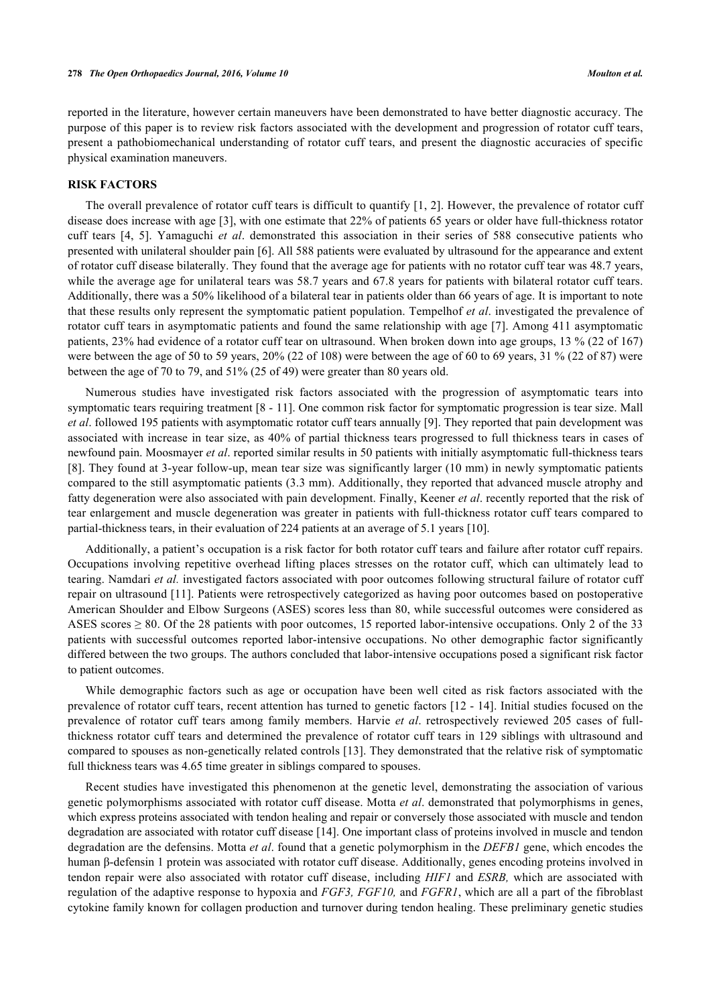reported in the literature, however certain maneuvers have been demonstrated to have better diagnostic accuracy. The purpose of this paper is to review risk factors associated with the development and progression of rotator cuff tears, present a pathobiomechanical understanding of rotator cuff tears, and present the diagnostic accuracies of specific physical examination maneuvers.

## **RISK FACTORS**

The overall prevalence of rotator cuff tears is difficult to quantify [[1](#page-6-0), [2\]](#page-6-1). However, the prevalence of rotator cuff disease does increase with age [[3\]](#page-6-2), with one estimate that 22% of patients 65 years or older have full-thickness rotator cuff tears [\[4,](#page-6-3) [5](#page-6-4)]. Yamaguchi *et al*. demonstrated this association in their series of 588 consecutive patients who presented with unilateral shoulder pain [\[6](#page-6-5)]. All 588 patients were evaluated by ultrasound for the appearance and extent of rotator cuff disease bilaterally. They found that the average age for patients with no rotator cuff tear was 48.7 years, while the average age for unilateral tears was 58.7 years and 67.8 years for patients with bilateral rotator cuff tears. Additionally, there was a 50% likelihood of a bilateral tear in patients older than 66 years of age. It is important to note that these results only represent the symptomatic patient population. Tempelhof *et al*. investigated the prevalence of rotator cuff tears in asymptomatic patients and found the same relationship with age [[7\]](#page-6-6). Among 411 asymptomatic patients, 23% had evidence of a rotator cuff tear on ultrasound. When broken down into age groups, 13 % (22 of 167) were between the age of 50 to 59 years, 20% (22 of 108) were between the age of 60 to 69 years, 31 % (22 of 87) were between the age of 70 to 79, and 51% (25 of 49) were greater than 80 years old.

Numerous studies have investigated risk factors associated with the progression of asymptomatic tears into symptomatic tears requiring treatment [[8](#page-6-7) - [11](#page-6-8)]. One common risk factor for symptomatic progression is tear size. Mall *et al*. followed 195 patients with asymptomatic rotator cuff tears annually [\[9](#page-6-9)]. They reported that pain development was associated with increase in tear size, as 40% of partial thickness tears progressed to full thickness tears in cases of newfound pain. Moosmayer *et al*. reported similar results in 50 patients with initially asymptomatic full-thickness tears [\[8](#page-6-7)]. They found at 3-year follow-up, mean tear size was significantly larger (10 mm) in newly symptomatic patients compared to the still asymptomatic patients (3.3 mm). Additionally, they reported that advanced muscle atrophy and fatty degeneration were also associated with pain development. Finally, Keener *et al*. recently reported that the risk of tear enlargement and muscle degeneration was greater in patients with full-thickness rotator cuff tears compared to partial-thickness tears, in their evaluation of 224 patients at an average of 5.1 years [\[10](#page-6-10)].

Additionally, a patient's occupation is a risk factor for both rotator cuff tears and failure after rotator cuff repairs. Occupations involving repetitive overhead lifting places stresses on the rotator cuff, which can ultimately lead to tearing. Namdari *et al.* investigated factors associated with poor outcomes following structural failure of rotator cuff repair on ultrasound [\[11\]](#page-6-8). Patients were retrospectively categorized as having poor outcomes based on postoperative American Shoulder and Elbow Surgeons (ASES) scores less than 80, while successful outcomes were considered as ASES scores  $\geq 80$ . Of the 28 patients with poor outcomes, 15 reported labor-intensive occupations. Only 2 of the 33 patients with successful outcomes reported labor-intensive occupations. No other demographic factor significantly differed between the two groups. The authors concluded that labor-intensive occupations posed a significant risk factor to patient outcomes.

While demographic factors such as age or occupation have been well cited as risk factors associated with the prevalence of rotator cuff tears, recent attention has turned to genetic factors [[12](#page-6-11) - [14](#page-6-12)]. Initial studies focused on the prevalence of rotator cuff tears among family members. Harvie *et al*. retrospectively reviewed 205 cases of fullthickness rotator cuff tears and determined the prevalence of rotator cuff tears in 129 siblings with ultrasound and compared to spouses as non-genetically related controls [[13\]](#page-6-13). They demonstrated that the relative risk of symptomatic full thickness tears was 4.65 time greater in siblings compared to spouses.

Recent studies have investigated this phenomenon at the genetic level, demonstrating the association of various genetic polymorphisms associated with rotator cuff disease. Motta *et al*. demonstrated that polymorphisms in genes, which express proteins associated with tendon healing and repair or conversely those associated with muscle and tendon degradation are associated with rotator cuff disease [\[14](#page-6-12)]. One important class of proteins involved in muscle and tendon degradation are the defensins. Motta *et al*. found that a genetic polymorphism in the *DEFB1* gene, which encodes the human β-defensin 1 protein was associated with rotator cuff disease. Additionally, genes encoding proteins involved in tendon repair were also associated with rotator cuff disease, including *HIF1* and *ESRB,* which are associated with regulation of the adaptive response to hypoxia and *FGF3, FGF10,* and *FGFR1*, which are all a part of the fibroblast cytokine family known for collagen production and turnover during tendon healing. These preliminary genetic studies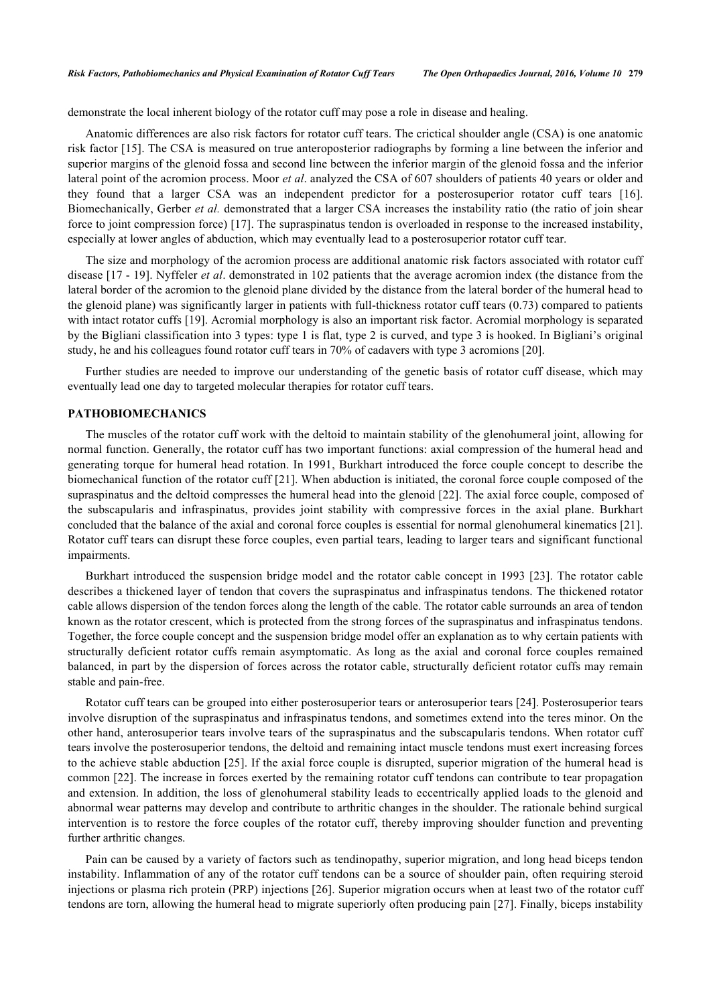demonstrate the local inherent biology of the rotator cuff may pose a role in disease and healing.

Anatomic differences are also risk factors for rotator cuff tears. The crictical shoulder angle (CSA) is one anatomic risk factor [[15](#page-6-14)]. The CSA is measured on true anteroposterior radiographs by forming a line between the inferior and superior margins of the glenoid fossa and second line between the inferior margin of the glenoid fossa and the inferior lateral point of the acromion process. Moor *et al*. analyzed the CSA of 607 shoulders of patients 40 years or older and they found that a larger CSA was an independent predictor for a posterosuperior rotator cuff tears [\[16\]](#page-7-0). Biomechanically, Gerber *et al.* demonstrated that a larger CSA increases the instability ratio (the ratio of join shear force to joint compression force) [[17\]](#page-7-1). The supraspinatus tendon is overloaded in response to the increased instability, especially at lower angles of abduction, which may eventually lead to a posterosuperior rotator cuff tear.

The size and morphology of the acromion process are additional anatomic risk factors associated with rotator cuff disease [\[17](#page-7-1) - [19\]](#page-7-2). Nyffeler *et al*. demonstrated in 102 patients that the average acromion index (the distance from the lateral border of the acromion to the glenoid plane divided by the distance from the lateral border of the humeral head to the glenoid plane) was significantly larger in patients with full-thickness rotator cuff tears (0.73) compared to patients with intact rotator cuffs [\[19](#page-7-2)]. Acromial morphology is also an important risk factor. Acromial morphology is separated by the Bigliani classification into 3 types: type 1 is flat, type 2 is curved, and type 3 is hooked. In Bigliani's original study, he and his colleagues found rotator cuff tears in 70% of cadavers with type 3 acromions [[20\]](#page-7-3).

Further studies are needed to improve our understanding of the genetic basis of rotator cuff disease, which may eventually lead one day to targeted molecular therapies for rotator cuff tears.

## **PATHOBIOMECHANICS**

The muscles of the rotator cuff work with the deltoid to maintain stability of the glenohumeral joint, allowing for normal function. Generally, the rotator cuff has two important functions: axial compression of the humeral head and generating torque for humeral head rotation. In 1991, Burkhart introduced the force couple concept to describe the biomechanical function of the rotator cuff [\[21\]](#page-7-4). When abduction is initiated, the coronal force couple composed of the supraspinatus and the deltoid compresses the humeral head into the glenoid [[22\]](#page-7-5). The axial force couple, composed of the subscapularis and infraspinatus, provides joint stability with compressive forces in the axial plane. Burkhart concluded that the balance of the axial and coronal force couples is essential for normal glenohumeral kinematics [[21\]](#page-7-4). Rotator cuff tears can disrupt these force couples, even partial tears, leading to larger tears and significant functional impairments.

Burkhart introduced the suspension bridge model and the rotator cable concept in 1993 [[23](#page-7-6)]. The rotator cable describes a thickened layer of tendon that covers the supraspinatus and infraspinatus tendons. The thickened rotator cable allows dispersion of the tendon forces along the length of the cable. The rotator cable surrounds an area of tendon known as the rotator crescent, which is protected from the strong forces of the supraspinatus and infraspinatus tendons. Together, the force couple concept and the suspension bridge model offer an explanation as to why certain patients with structurally deficient rotator cuffs remain asymptomatic. As long as the axial and coronal force couples remained balanced, in part by the dispersion of forces across the rotator cable, structurally deficient rotator cuffs may remain stable and pain-free.

Rotator cuff tears can be grouped into either posterosuperior tears or anterosuperior tears [[24\]](#page-7-7). Posterosuperior tears involve disruption of the supraspinatus and infraspinatus tendons, and sometimes extend into the teres minor. On the other hand, anterosuperior tears involve tears of the supraspinatus and the subscapularis tendons. When rotator cuff tears involve the posterosuperior tendons, the deltoid and remaining intact muscle tendons must exert increasing forces to the achieve stable abduction [\[25](#page-7-8)]. If the axial force couple is disrupted, superior migration of the humeral head is common [\[22\]](#page-7-5). The increase in forces exerted by the remaining rotator cuff tendons can contribute to tear propagation and extension. In addition, the loss of glenohumeral stability leads to eccentrically applied loads to the glenoid and abnormal wear patterns may develop and contribute to arthritic changes in the shoulder. The rationale behind surgical intervention is to restore the force couples of the rotator cuff, thereby improving shoulder function and preventing further arthritic changes.

Pain can be caused by a variety of factors such as tendinopathy, superior migration, and long head biceps tendon instability. Inflammation of any of the rotator cuff tendons can be a source of shoulder pain, often requiring steroid injections or plasma rich protein (PRP) injections [[26\]](#page-7-9). Superior migration occurs when at least two of the rotator cuff tendons are torn, allowing the humeral head to migrate superiorly often producing pain [[27\]](#page-7-10). Finally, biceps instability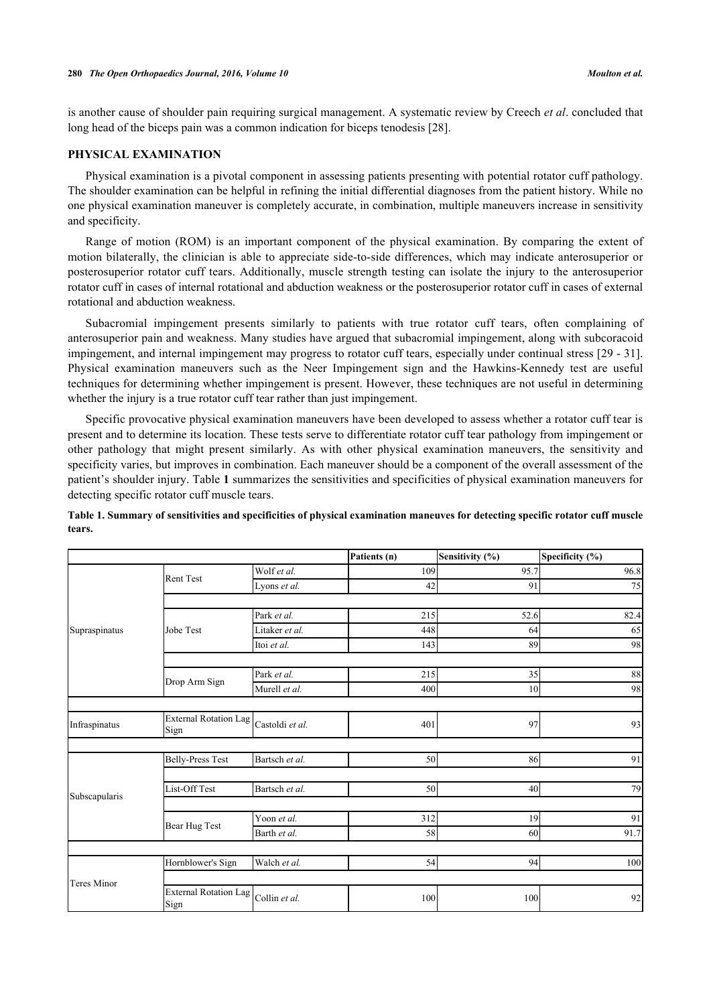is another cause of shoulder pain requiring surgical management. A systematic review by Creech *et al*. concluded that long head of the biceps pain was a common indication for biceps tenodesis [[28\]](#page-7-11).

## **PHYSICAL EXAMINATION**

Physical examination is a pivotal component in assessing patients presenting with potential rotator cuff pathology. The shoulder examination can be helpful in refining the initial differential diagnoses from the patient history. While no one physical examination maneuver is completely accurate, in combination, multiple maneuvers increase in sensitivity and specificity.

Range of motion (ROM) is an important component of the physical examination. By comparing the extent of motion bilaterally, the clinician is able to appreciate side-to-side differences, which may indicate anterosuperior or posterosuperior rotator cuff tears. Additionally, muscle strength testing can isolate the injury to the anterosuperior rotator cuff in cases of internal rotational and abduction weakness or the posterosuperior rotator cuff in cases of external rotational and abduction weakness.

Subacromial impingement presents similarly to patients with true rotator cuff tears, often complaining of anterosuperior pain and weakness. Many studies have argued that subacromial impingement, along with subcoracoid impingement, and internal impingement may progress to rotator cuff tears, especially under continual stress [\[29](#page-7-12) - [31\]](#page-7-13). Physical examination maneuvers such as the Neer Impingement sign and the Hawkins-Kennedy test are useful techniques for determining whether impingement is present. However, these techniques are not useful in determining whether the injury is a true rotator cuff tear rather than just impingement.

Specific provocative physical examination maneuvers have been developed to assess whether a rotator cuff tear is present and to determine its location. These tests serve to differentiate rotator cuff tear pathology from impingement or other pathology that might present similarly. As with other physical examination maneuvers, the sensitivity and specificity varies, but improves in combination. Each maneuver should be a component of the overall assessment of the patient's shoulder injury. Table **[1](#page-3-0)** summarizes the sensitivities and specificities of physical examination maneuvers for detecting specific rotator cuff muscle tears.

|                    |                               |                 | Patients (n) | Sensitivity (%) | Specificity (%) |
|--------------------|-------------------------------|-----------------|--------------|-----------------|-----------------|
| Supraspinatus      | Rent Test                     | Wolf et al.     | 109          | 95.7            | 96.8            |
|                    |                               | Lyons et al.    | 42           | 91              | 75              |
|                    |                               |                 |              |                 |                 |
|                    | Jobe Test                     | Park et al.     | 215          | 52.6            | 82.4            |
|                    |                               | Litaker et al.  | 448          | 64              | 65              |
|                    |                               | Itoi et al.     | 143          | 89              | 98              |
|                    |                               |                 |              |                 |                 |
|                    | Drop Arm Sign                 | Park et al.     | 215          | 35              | 88              |
|                    |                               | Murell et al.   | 400          | 10              | 98              |
|                    |                               |                 |              |                 |                 |
| Infraspinatus      | External Rotation Lag<br>Sign | Castoldi et al. | 401          | 97              | 93              |
|                    |                               |                 |              |                 |                 |
| Subscapularis      | <b>Belly-Press Test</b>       | Bartsch et al.  | 50           | 86              | 91              |
|                    |                               |                 |              |                 |                 |
|                    | List-Off Test                 | Bartsch et al.  | 50           | 40              | 79              |
|                    |                               |                 |              |                 |                 |
|                    | Bear Hug Test                 | Yoon et al.     | 312          | 19              | 91              |
|                    |                               | Barth et al.    | 58           | 60              | 91.7            |
|                    |                               |                 |              |                 |                 |
|                    | Hornblower's Sign             | Walch et al.    | 54           | 94              | 100             |
| <b>Teres Minor</b> |                               |                 |              |                 |                 |
|                    | External Rotation Lag<br>Sign | Collin et al.   | 100          | 100             | 92              |

<span id="page-3-0"></span>**Table 1. Summary of sensitivities and specificities of physical examination maneuves for detecting specific rotator cuff muscle tears.**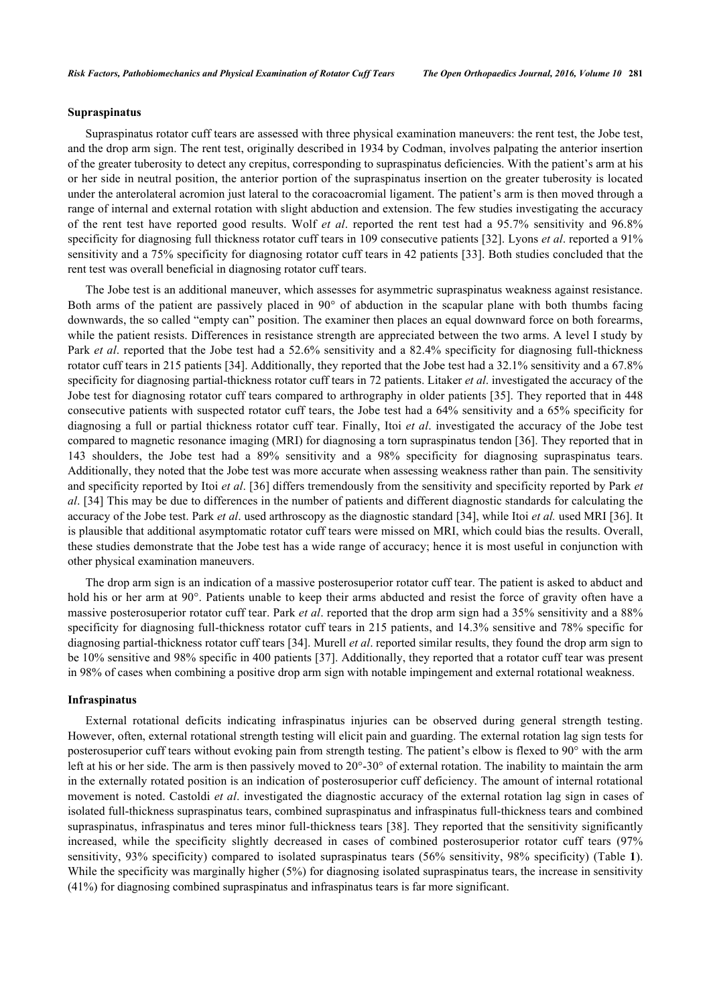## **Supraspinatus**

Supraspinatus rotator cuff tears are assessed with three physical examination maneuvers: the rent test, the Jobe test, and the drop arm sign. The rent test, originally described in 1934 by Codman, involves palpating the anterior insertion of the greater tuberosity to detect any crepitus, corresponding to supraspinatus deficiencies. With the patient's arm at his or her side in neutral position, the anterior portion of the supraspinatus insertion on the greater tuberosity is located under the anterolateral acromion just lateral to the coracoacromial ligament. The patient's arm is then moved through a range of internal and external rotation with slight abduction and extension. The few studies investigating the accuracy of the rent test have reported good results. Wolf *et al*. reported the rent test had a 95.7% sensitivity and 96.8% specificity for diagnosing full thickness rotator cuff tears in 109 consecutive patients [[32](#page-7-14)]. Lyons *et al*. reported a 91% sensitivity and a 75% specificity for diagnosing rotator cuff tears in 42 patients [[33](#page-7-15)]. Both studies concluded that the rent test was overall beneficial in diagnosing rotator cuff tears.

The Jobe test is an additional maneuver, which assesses for asymmetric supraspinatus weakness against resistance. Both arms of the patient are passively placed in 90° of abduction in the scapular plane with both thumbs facing downwards, the so called "empty can" position. The examiner then places an equal downward force on both forearms, while the patient resists. Differences in resistance strength are appreciated between the two arms. A level I study by Park *et al*. reported that the Jobe test had a 52.6% sensitivity and a 82.4% specificity for diagnosing full-thickness rotator cuff tears in 215 patients [[34\]](#page-7-16). Additionally, they reported that the Jobe test had a 32.1% sensitivity and a 67.8% specificity for diagnosing partial-thickness rotator cuff tears in 72 patients. Litaker *et al*. investigated the accuracy of the Jobe test for diagnosing rotator cuff tears compared to arthrography in older patients [[35](#page-7-17)]. They reported that in 448 consecutive patients with suspected rotator cuff tears, the Jobe test had a 64% sensitivity and a 65% specificity for diagnosing a full or partial thickness rotator cuff tear. Finally, Itoi *et al*. investigated the accuracy of the Jobe test compared to magnetic resonance imaging (MRI) for diagnosing a torn supraspinatus tendon [[36\]](#page-8-0). They reported that in 143 shoulders, the Jobe test had a 89% sensitivity and a 98% specificity for diagnosing supraspinatus tears. Additionally, they noted that the Jobe test was more accurate when assessing weakness rather than pain. The sensitivity and specificity reported by Itoi *et al*. [\[36](#page-8-0)] differs tremendously from the sensitivity and specificity reported by Park *et al*. [\[34](#page-7-16)] This may be due to differences in the number of patients and different diagnostic standards for calculating the accuracy of the Jobe test. Park *et al*. used arthroscopy as the diagnostic standard [\[34](#page-7-16)], while Itoi *et al.* used MRI [[36](#page-8-0)]. It is plausible that additional asymptomatic rotator cuff tears were missed on MRI, which could bias the results. Overall, these studies demonstrate that the Jobe test has a wide range of accuracy; hence it is most useful in conjunction with other physical examination maneuvers.

The drop arm sign is an indication of a massive posterosuperior rotator cuff tear. The patient is asked to abduct and hold his or her arm at 90°. Patients unable to keep their arms abducted and resist the force of gravity often have a massive posterosuperior rotator cuff tear. Park *et al*. reported that the drop arm sign had a 35% sensitivity and a 88% specificity for diagnosing full-thickness rotator cuff tears in 215 patients, and 14.3% sensitive and 78% specific for diagnosing partial-thickness rotator cuff tears [\[34](#page-7-16)]. Murell *et al*. reported similar results, they found the drop arm sign to be 10% sensitive and 98% specific in 400 patients [\[37](#page-8-1)]. Additionally, they reported that a rotator cuff tear was present in 98% of cases when combining a positive drop arm sign with notable impingement and external rotational weakness.

## **Infraspinatus**

External rotational deficits indicating infraspinatus injuries can be observed during general strength testing. However, often, external rotational strength testing will elicit pain and guarding. The external rotation lag sign tests for posterosuperior cuff tears without evoking pain from strength testing. The patient's elbow is flexed to 90° with the arm left at his or her side. The arm is then passively moved to  $20^{\circ}$ -30° of external rotation. The inability to maintain the arm in the externally rotated position is an indication of posterosuperior cuff deficiency. The amount of internal rotational movement is noted. Castoldi *et al*. investigated the diagnostic accuracy of the external rotation lag sign in cases of isolated full-thickness supraspinatus tears, combined supraspinatus and infraspinatus full-thickness tears and combined supraspinatus, infraspinatus and teres minor full-thickness tears [[38](#page-8-2)]. They reported that the sensitivity significantly increased, while the specificity slightly decreased in cases of combined posterosuperior rotator cuff tears (97% sensitivity, 93% specificity) compared to isolated supraspinatus tears (56% sensitivity, 98% specificity) (Table **[1](#page-3-0)**). While the specificity was marginally higher (5%) for diagnosing isolated supraspinatus tears, the increase in sensitivity (41%) for diagnosing combined supraspinatus and infraspinatus tears is far more significant.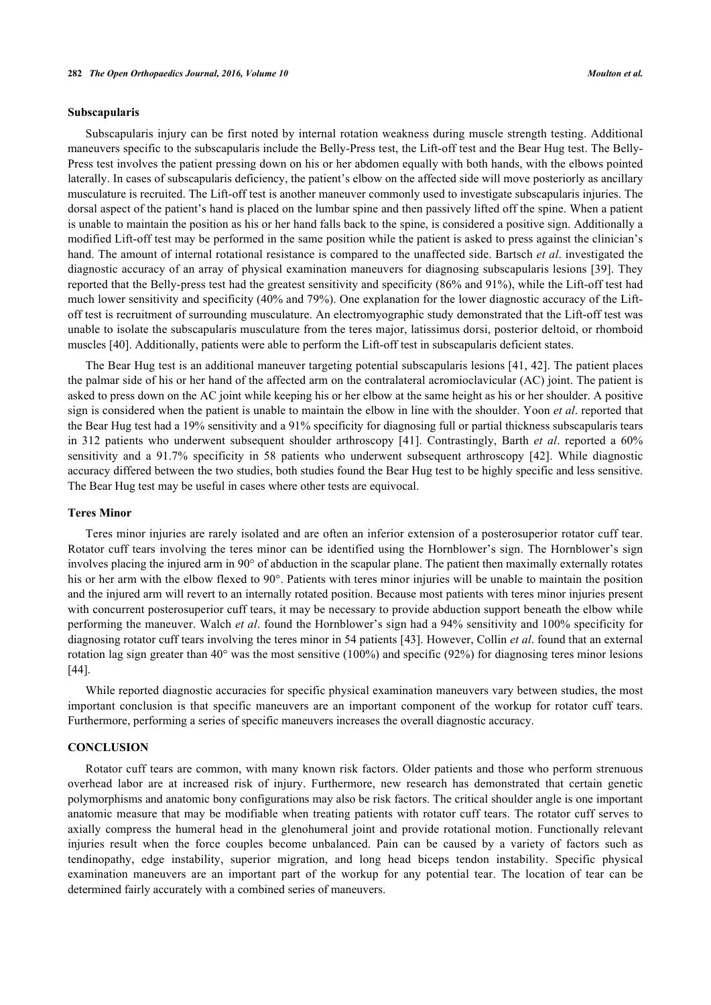#### **Subscapularis**

Subscapularis injury can be first noted by internal rotation weakness during muscle strength testing. Additional maneuvers specific to the subscapularis include the Belly-Press test, the Lift-off test and the Bear Hug test. The Belly-Press test involves the patient pressing down on his or her abdomen equally with both hands, with the elbows pointed laterally. In cases of subscapularis deficiency, the patient's elbow on the affected side will move posteriorly as ancillary musculature is recruited. The Lift-off test is another maneuver commonly used to investigate subscapularis injuries. The dorsal aspect of the patient's hand is placed on the lumbar spine and then passively lifted off the spine. When a patient is unable to maintain the position as his or her hand falls back to the spine, is considered a positive sign. Additionally a modified Lift-off test may be performed in the same position while the patient is asked to press against the clinician's hand. The amount of internal rotational resistance is compared to the unaffected side. Bartsch *et al*. investigated the diagnostic accuracy of an array of physical examination maneuvers for diagnosing subscapularis lesions [\[39](#page-8-3)]. They reported that the Belly-press test had the greatest sensitivity and specificity (86% and 91%), while the Lift-off test had much lower sensitivity and specificity (40% and 79%). One explanation for the lower diagnostic accuracy of the Liftoff test is recruitment of surrounding musculature. An electromyographic study demonstrated that the Lift-off test was unable to isolate the subscapularis musculature from the teres major, latissimus dorsi, posterior deltoid, or rhomboid muscles [[40\]](#page-8-4). Additionally, patients were able to perform the Lift-off test in subscapularis deficient states.

The Bear Hug test is an additional maneuver targeting potential subscapularis lesions [\[41](#page-8-5), [42\]](#page-8-6). The patient places the palmar side of his or her hand of the affected arm on the contralateral acromioclavicular (AC) joint. The patient is asked to press down on the AC joint while keeping his or her elbow at the same height as his or her shoulder. A positive sign is considered when the patient is unable to maintain the elbow in line with the shoulder. Yoon *et al*. reported that the Bear Hug test had a 19% sensitivity and a 91% specificity for diagnosing full or partial thickness subscapularis tears in 312 patients who underwent subsequent shoulder arthroscopy[[41\]](#page-8-5). Contrastingly, Barth *et al*. reported a 60% sensitivity and a 91.7% specificity in 58 patients who underwent subsequent arthroscopy[[42](#page-8-6)]. While diagnostic accuracy differed between the two studies, both studies found the Bear Hug test to be highly specific and less sensitive. The Bear Hug test may be useful in cases where other tests are equivocal.

#### **Teres Minor**

Teres minor injuries are rarely isolated and are often an inferior extension of a posterosuperior rotator cuff tear. Rotator cuff tears involving the teres minor can be identified using the Hornblower's sign. The Hornblower's sign involves placing the injured arm in 90° of abduction in the scapular plane. The patient then maximally externally rotates his or her arm with the elbow flexed to 90°. Patients with teres minor injuries will be unable to maintain the position and the injured arm will revert to an internally rotated position. Because most patients with teres minor injuries present with concurrent posterosuperior cuff tears, it may be necessary to provide abduction support beneath the elbow while performing the maneuver. Walch *et al*. found the Hornblower's sign had a 94% sensitivity and 100% specificity for diagnosing rotator cuff tears involving the teres minor in 54 patients [[43\]](#page-8-7). However, Collin *et al*. found that an external rotation lag sign greater than  $40^{\circ}$  was the most sensitive (100%) and specific (92%) for diagnosing teres minor lesions [\[44](#page-8-8)].

While reported diagnostic accuracies for specific physical examination maneuvers vary between studies, the most important conclusion is that specific maneuvers are an important component of the workup for rotator cuff tears. Furthermore, performing a series of specific maneuvers increases the overall diagnostic accuracy.

#### **CONCLUSION**

Rotator cuff tears are common, with many known risk factors. Older patients and those who perform strenuous overhead labor are at increased risk of injury. Furthermore, new research has demonstrated that certain genetic polymorphisms and anatomic bony configurations may also be risk factors. The critical shoulder angle is one important anatomic measure that may be modifiable when treating patients with rotator cuff tears. The rotator cuff serves to axially compress the humeral head in the glenohumeral joint and provide rotational motion. Functionally relevant injuries result when the force couples become unbalanced. Pain can be caused by a variety of factors such as tendinopathy, edge instability, superior migration, and long head biceps tendon instability. Specific physical examination maneuvers are an important part of the workup for any potential tear. The location of tear can be determined fairly accurately with a combined series of maneuvers.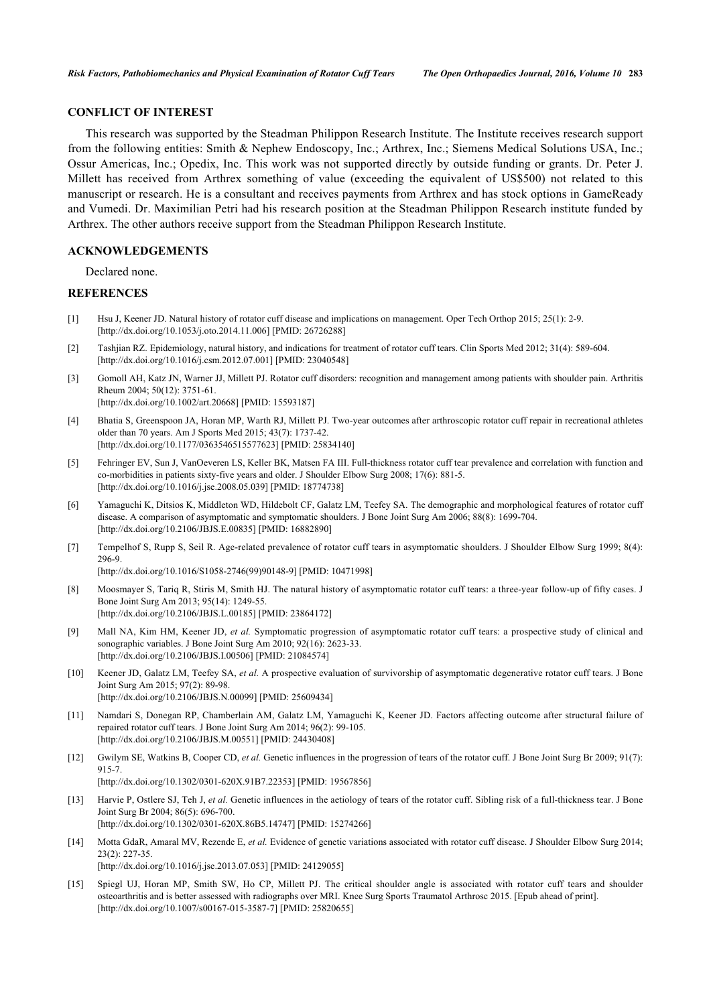## **CONFLICT OF INTEREST**

This research was supported by the Steadman Philippon Research Institute. The Institute receives research support from the following entities: Smith & Nephew Endoscopy, Inc.; Arthrex, Inc.; Siemens Medical Solutions USA, Inc.; Ossur Americas, Inc.; Opedix, Inc. This work was not supported directly by outside funding or grants. Dr. Peter J. Millett has received from Arthrex something of value (exceeding the equivalent of US\$500) not related to this manuscript or research. He is a consultant and receives payments from Arthrex and has stock options in GameReady and Vumedi. Dr. Maximilian Petri had his research position at the Steadman Philippon Research institute funded by Arthrex. The other authors receive support from the Steadman Philippon Research Institute.

#### **ACKNOWLEDGEMENTS**

Declared none.

## **REFERENCES**

- <span id="page-6-0"></span>[1] Hsu J, Keener JD. Natural history of rotator cuff disease and implications on management. Oper Tech Orthop 2015; 25(1): 2-9. [\[http://dx.doi.org/10.1053/j.oto.2014.11.006](http://dx.doi.org/10.1053/j.oto.2014.11.006)] [PMID: [26726288\]](http://www.ncbi.nlm.nih.gov/pubmed/26726288)
- <span id="page-6-1"></span>[2] Tashjian RZ. Epidemiology, natural history, and indications for treatment of rotator cuff tears. Clin Sports Med 2012; 31(4): 589-604. [\[http://dx.doi.org/10.1016/j.csm.2012.07.001\]](http://dx.doi.org/10.1016/j.csm.2012.07.001) [PMID: [23040548](http://www.ncbi.nlm.nih.gov/pubmed/23040548)]
- <span id="page-6-2"></span>[3] Gomoll AH, Katz JN, Warner JJ, Millett PJ. Rotator cuff disorders: recognition and management among patients with shoulder pain. Arthritis Rheum 2004; 50(12): 3751-61. [\[http://dx.doi.org/10.1002/art.20668](http://dx.doi.org/10.1002/art.20668)] [PMID: [15593187\]](http://www.ncbi.nlm.nih.gov/pubmed/15593187)
- <span id="page-6-3"></span>[4] Bhatia S, Greenspoon JA, Horan MP, Warth RJ, Millett PJ. Two-year outcomes after arthroscopic rotator cuff repair in recreational athletes older than 70 years. Am J Sports Med 2015; 43(7): 1737-42.
- [\[http://dx.doi.org/10.1177/0363546515577623\]](http://dx.doi.org/10.1177/0363546515577623) [PMID: [25834140](http://www.ncbi.nlm.nih.gov/pubmed/25834140)]
- <span id="page-6-4"></span>[5] Fehringer EV, Sun J, VanOeveren LS, Keller BK, Matsen FA III. Full-thickness rotator cuff tear prevalence and correlation with function and co-morbidities in patients sixty-five years and older. J Shoulder Elbow Surg 2008; 17(6): 881-5. [\[http://dx.doi.org/10.1016/j.jse.2008.05.039\]](http://dx.doi.org/10.1016/j.jse.2008.05.039) [PMID: [18774738](http://www.ncbi.nlm.nih.gov/pubmed/18774738)]
- <span id="page-6-5"></span>[6] Yamaguchi K, Ditsios K, Middleton WD, Hildebolt CF, Galatz LM, Teefey SA. The demographic and morphological features of rotator cuff disease. A comparison of asymptomatic and symptomatic shoulders. J Bone Joint Surg Am 2006; 88(8): 1699-704. [\[http://dx.doi.org/10.2106/JBJS.E.00835\]](http://dx.doi.org/10.2106/JBJS.E.00835) [PMID: [16882890](http://www.ncbi.nlm.nih.gov/pubmed/16882890)]
- <span id="page-6-6"></span>[7] Tempelhof S, Rupp S, Seil R. Age-related prevalence of rotator cuff tears in asymptomatic shoulders. J Shoulder Elbow Surg 1999; 8(4): 296-9.

[\[http://dx.doi.org/10.1016/S1058-2746\(99\)90148-9\]](http://dx.doi.org/10.1016/S1058-2746(99)90148-9) [PMID: [10471998](http://www.ncbi.nlm.nih.gov/pubmed/10471998)]

- <span id="page-6-7"></span>[8] Moosmayer S, Tariq R, Stiris M, Smith HJ. The natural history of asymptomatic rotator cuff tears: a three-year follow-up of fifty cases. J Bone Joint Surg Am 2013; 95(14): 1249-55. [\[http://dx.doi.org/10.2106/JBJS.L.00185\]](http://dx.doi.org/10.2106/JBJS.L.00185) [PMID: [23864172](http://www.ncbi.nlm.nih.gov/pubmed/23864172)]
- <span id="page-6-9"></span>[9] Mall NA, Kim HM, Keener JD, *et al.* Symptomatic progression of asymptomatic rotator cuff tears: a prospective study of clinical and sonographic variables. J Bone Joint Surg Am 2010; 92(16): 2623-33. [\[http://dx.doi.org/10.2106/JBJS.I.00506](http://dx.doi.org/10.2106/JBJS.I.00506)] [PMID: [21084574](http://www.ncbi.nlm.nih.gov/pubmed/21084574)]
- <span id="page-6-10"></span>[10] Keener JD, Galatz LM, Teefey SA, *et al.* A prospective evaluation of survivorship of asymptomatic degenerative rotator cuff tears. J Bone Joint Surg Am 2015; 97(2): 89-98. [\[http://dx.doi.org/10.2106/JBJS.N.00099\]](http://dx.doi.org/10.2106/JBJS.N.00099) [PMID: [25609434](http://www.ncbi.nlm.nih.gov/pubmed/25609434)]
- <span id="page-6-8"></span>[11] Namdari S, Donegan RP, Chamberlain AM, Galatz LM, Yamaguchi K, Keener JD. Factors affecting outcome after structural failure of repaired rotator cuff tears. J Bone Joint Surg Am 2014; 96(2): 99-105. [\[http://dx.doi.org/10.2106/JBJS.M.00551\]](http://dx.doi.org/10.2106/JBJS.M.00551) [PMID: [24430408](http://www.ncbi.nlm.nih.gov/pubmed/24430408)]
- <span id="page-6-11"></span>[12] Gwilym SE, Watkins B, Cooper CD, *et al.* Genetic influences in the progression of tears of the rotator cuff. J Bone Joint Surg Br 2009; 91(7): 915-7. [\[http://dx.doi.org/10.1302/0301-620X.91B7.22353\]](http://dx.doi.org/10.1302/0301-620X.91B7.22353) [PMID: [19567856](http://www.ncbi.nlm.nih.gov/pubmed/19567856)]
- <span id="page-6-13"></span>[13] Harvie P, Ostlere SJ, Teh J, *et al.* Genetic influences in the aetiology of tears of the rotator cuff. Sibling risk of a full-thickness tear. J Bone Joint Surg Br 2004; 86(5): 696-700. [\[http://dx.doi.org/10.1302/0301-620X.86B5.14747\]](http://dx.doi.org/10.1302/0301-620X.86B5.14747) [PMID: [15274266](http://www.ncbi.nlm.nih.gov/pubmed/15274266)]
- <span id="page-6-12"></span>[14] Motta GdaR, Amaral MV, Rezende E, *et al.* Evidence of genetic variations associated with rotator cuff disease. J Shoulder Elbow Surg 2014; 23(2): 227-35.

[\[http://dx.doi.org/10.1016/j.jse.2013.07.053\]](http://dx.doi.org/10.1016/j.jse.2013.07.053) [PMID: [24129055](http://www.ncbi.nlm.nih.gov/pubmed/24129055)]

<span id="page-6-14"></span>[15] Spiegl UJ, Horan MP, Smith SW, Ho CP, Millett PJ. The critical shoulder angle is associated with rotator cuff tears and shoulder osteoarthritis and is better assessed with radiographs over MRI. Knee Surg Sports Traumatol Arthrosc 2015. [Epub ahead of print]. [\[http://dx.doi.org/10.1007/s00167-015-3587-7\]](http://dx.doi.org/10.1007/s00167-015-3587-7) [PMID: [25820655](http://www.ncbi.nlm.nih.gov/pubmed/25820655)]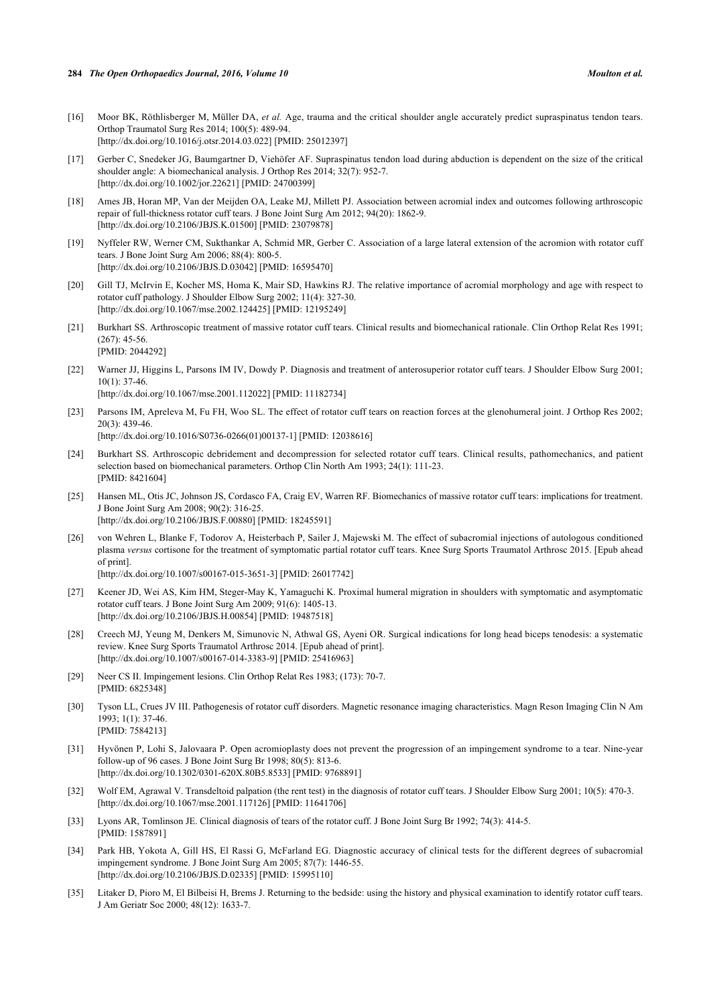- <span id="page-7-0"></span>[16] Moor BK, Röthlisberger M, Müller DA, *et al.* Age, trauma and the critical shoulder angle accurately predict supraspinatus tendon tears. Orthop Traumatol Surg Res 2014; 100(5): 489-94. [\[http://dx.doi.org/10.1016/j.otsr.2014.03.022](http://dx.doi.org/10.1016/j.otsr.2014.03.022)] [PMID: [25012397\]](http://www.ncbi.nlm.nih.gov/pubmed/25012397)
- <span id="page-7-1"></span>[17] Gerber C, Snedeker JG, Baumgartner D, Viehöfer AF. Supraspinatus tendon load during abduction is dependent on the size of the critical shoulder angle: A biomechanical analysis. J Orthop Res 2014; 32(7): 952-7. [\[http://dx.doi.org/10.1002/jor.22621\]](http://dx.doi.org/10.1002/jor.22621) [PMID: [24700399](http://www.ncbi.nlm.nih.gov/pubmed/24700399)]
- [18] Ames JB, Horan MP, Van der Meijden OA, Leake MJ, Millett PJ. Association between acromial index and outcomes following arthroscopic repair of full-thickness rotator cuff tears. J Bone Joint Surg Am 2012; 94(20): 1862-9. [\[http://dx.doi.org/10.2106/JBJS.K.01500\]](http://dx.doi.org/10.2106/JBJS.K.01500) [PMID: [23079878](http://www.ncbi.nlm.nih.gov/pubmed/23079878)]
- <span id="page-7-2"></span>[19] Nyffeler RW, Werner CM, Sukthankar A, Schmid MR, Gerber C. Association of a large lateral extension of the acromion with rotator cuff tears. J Bone Joint Surg Am 2006; 88(4): 800-5. [\[http://dx.doi.org/10.2106/JBJS.D.03042\]](http://dx.doi.org/10.2106/JBJS.D.03042) [PMID: [16595470](http://www.ncbi.nlm.nih.gov/pubmed/16595470)]
- <span id="page-7-3"></span>[20] Gill TJ, McIrvin E, Kocher MS, Homa K, Mair SD, Hawkins RJ. The relative importance of acromial morphology and age with respect to rotator cuff pathology. J Shoulder Elbow Surg 2002; 11(4): 327-30. [\[http://dx.doi.org/10.1067/mse.2002.124425\]](http://dx.doi.org/10.1067/mse.2002.124425) [PMID: [12195249](http://www.ncbi.nlm.nih.gov/pubmed/12195249)]
- <span id="page-7-4"></span>[21] Burkhart SS. Arthroscopic treatment of massive rotator cuff tears. Clinical results and biomechanical rationale. Clin Orthop Relat Res 1991;  $(267)$ : 45-56. [PMID: [2044292\]](http://www.ncbi.nlm.nih.gov/pubmed/2044292)
- <span id="page-7-5"></span>[22] Warner JJ, Higgins L, Parsons IM IV, Dowdy P. Diagnosis and treatment of anterosuperior rotator cuff tears. J Shoulder Elbow Surg 2001; 10(1): 37-46. [\[http://dx.doi.org/10.1067/mse.2001.112022\]](http://dx.doi.org/10.1067/mse.2001.112022) [PMID: [11182734](http://www.ncbi.nlm.nih.gov/pubmed/11182734)]
- <span id="page-7-6"></span>[23] Parsons IM, Apreleva M, Fu FH, Woo SL. The effect of rotator cuff tears on reaction forces at the glenohumeral joint. J Orthop Res 2002; 20(3): 439-46. [\[http://dx.doi.org/10.1016/S0736-0266\(01\)00137-1\]](http://dx.doi.org/10.1016/S0736-0266(01)00137-1) [PMID: [12038616](http://www.ncbi.nlm.nih.gov/pubmed/12038616)]
- <span id="page-7-7"></span>[24] Burkhart SS. Arthroscopic debridement and decompression for selected rotator cuff tears. Clinical results, pathomechanics, and patient selection based on biomechanical parameters. Orthop Clin North Am 1993; 24(1): 111-23. [PMID: [8421604\]](http://www.ncbi.nlm.nih.gov/pubmed/8421604)
- <span id="page-7-8"></span>[25] Hansen ML, Otis JC, Johnson JS, Cordasco FA, Craig EV, Warren RF. Biomechanics of massive rotator cuff tears: implications for treatment. J Bone Joint Surg Am 2008; 90(2): 316-25. [\[http://dx.doi.org/10.2106/JBJS.F.00880](http://dx.doi.org/10.2106/JBJS.F.00880)] [PMID: [18245591\]](http://www.ncbi.nlm.nih.gov/pubmed/18245591)
- <span id="page-7-9"></span>[26] von Wehren L, Blanke F, Todorov A, Heisterbach P, Sailer J, Majewski M. The effect of subacromial injections of autologous conditioned plasma *versus* cortisone for the treatment of symptomatic partial rotator cuff tears. Knee Surg Sports Traumatol Arthrosc 2015. [Epub ahead of print]. [\[http://dx.doi.org/10.1007/s00167-015-3651-3\]](http://dx.doi.org/10.1007/s00167-015-3651-3) [PMID: [26017742](http://www.ncbi.nlm.nih.gov/pubmed/26017742)]
- <span id="page-7-10"></span>[27] Keener JD, Wei AS, Kim HM, Steger-May K, Yamaguchi K. Proximal humeral migration in shoulders with symptomatic and asymptomatic rotator cuff tears. J Bone Joint Surg Am 2009; 91(6): 1405-13. [\[http://dx.doi.org/10.2106/JBJS.H.00854\]](http://dx.doi.org/10.2106/JBJS.H.00854) [PMID: [19487518](http://www.ncbi.nlm.nih.gov/pubmed/19487518)]
- <span id="page-7-11"></span>[28] Creech MJ, Yeung M, Denkers M, Simunovic N, Athwal GS, Ayeni OR. Surgical indications for long head biceps tenodesis: a systematic review. Knee Surg Sports Traumatol Arthrosc 2014. [Epub ahead of print]. [\[http://dx.doi.org/10.1007/s00167-014-3383-9\]](http://dx.doi.org/10.1007/s00167-014-3383-9) [PMID: [25416963](http://www.ncbi.nlm.nih.gov/pubmed/25416963)]
- <span id="page-7-12"></span>[29] Neer CS II. Impingement lesions. Clin Orthop Relat Res 1983; (173): 70-7. [PMID: [6825348\]](http://www.ncbi.nlm.nih.gov/pubmed/6825348)
- [30] Tyson LL, Crues JV III. Pathogenesis of rotator cuff disorders. Magnetic resonance imaging characteristics. Magn Reson Imaging Clin N Am 1993; 1(1): 37-46. [PMID: [7584213\]](http://www.ncbi.nlm.nih.gov/pubmed/7584213)
- <span id="page-7-13"></span>[31] Hyvönen P, Lohi S, Jalovaara P. Open acromioplasty does not prevent the progression of an impingement syndrome to a tear. Nine-year follow-up of 96 cases. J Bone Joint Surg Br 1998; 80(5): 813-6. [\[http://dx.doi.org/10.1302/0301-620X.80B5.8533\]](http://dx.doi.org/10.1302/0301-620X.80B5.8533) [PMID: [9768891](http://www.ncbi.nlm.nih.gov/pubmed/9768891)]
- <span id="page-7-14"></span>[32] Wolf EM, Agrawal V. Transdeltoid palpation (the rent test) in the diagnosis of rotator cuff tears. J Shoulder Elbow Surg 2001; 10(5): 470-3. [\[http://dx.doi.org/10.1067/mse.2001.117126\]](http://dx.doi.org/10.1067/mse.2001.117126) [PMID: [11641706](http://www.ncbi.nlm.nih.gov/pubmed/11641706)]
- <span id="page-7-15"></span>[33] Lyons AR, Tomlinson JE. Clinical diagnosis of tears of the rotator cuff. J Bone Joint Surg Br 1992; 74(3): 414-5. [PMID: [1587891\]](http://www.ncbi.nlm.nih.gov/pubmed/1587891)
- <span id="page-7-16"></span>[34] Park HB, Yokota A, Gill HS, El Rassi G, McFarland EG. Diagnostic accuracy of clinical tests for the different degrees of subacromial impingement syndrome. J Bone Joint Surg Am 2005; 87(7): 1446-55. [\[http://dx.doi.org/10.2106/JBJS.D.02335\]](http://dx.doi.org/10.2106/JBJS.D.02335) [PMID: [15995110](http://www.ncbi.nlm.nih.gov/pubmed/15995110)]
- <span id="page-7-17"></span>[35] Litaker D, Pioro M, El Bilbeisi H, Brems J. Returning to the bedside: using the history and physical examination to identify rotator cuff tears. J Am Geriatr Soc 2000; 48(12): 1633-7.